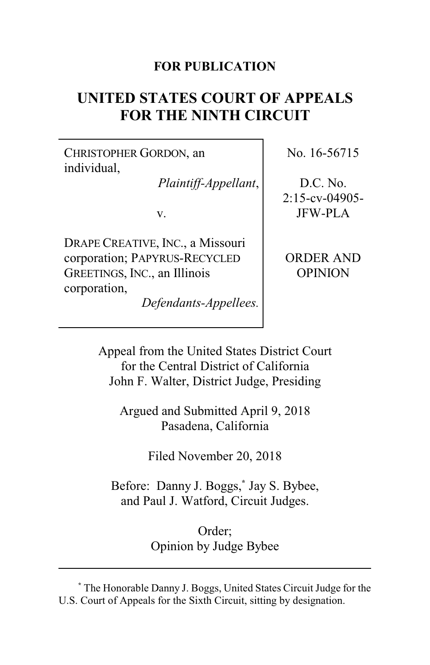### **FOR PUBLICATION**

# **UNITED STATES COURT OF APPEALS FOR THE NINTH CIRCUIT**

CHRISTOPHER GORDON, an individual,

*Plaintiff-Appellant*,

v.

DRAPE CREATIVE, INC., a Missouri corporation; PAPYRUS-RECYCLED GREETINGS, INC., an Illinois corporation,

*Defendants-Appellees.*

No. 16-56715

D.C. No.  $2:15$ -cv-04905-JFW-PLA

ORDER AND OPINION

Appeal from the United States District Court for the Central District of California John F. Walter, District Judge, Presiding

Argued and Submitted April 9, 2018 Pasadena, California

Filed November 20, 2018

Before: Danny J. Boggs,**\*** Jay S. Bybee, and Paul J. Watford, Circuit Judges.

> Order; Opinion by Judge Bybee

**<sup>\*</sup>** The Honorable Danny J. Boggs, United States Circuit Judge for the U.S. Court of Appeals for the Sixth Circuit, sitting by designation.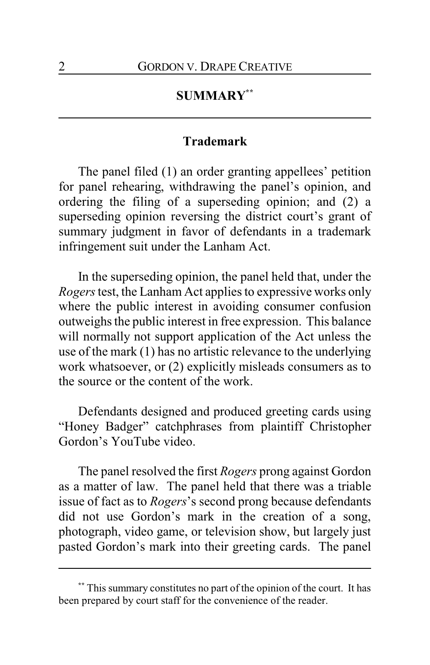# **SUMMARY\*\***

### **Trademark**

The panel filed (1) an order granting appellees' petition for panel rehearing, withdrawing the panel's opinion, and ordering the filing of a superseding opinion; and (2) a superseding opinion reversing the district court's grant of summary judgment in favor of defendants in a trademark infringement suit under the Lanham Act.

In the superseding opinion, the panel held that, under the *Rogers*test, the Lanham Act applies to expressive works only where the public interest in avoiding consumer confusion outweighs the public interest in free expression. This balance will normally not support application of the Act unless the use of the mark (1) has no artistic relevance to the underlying work whatsoever, or (2) explicitly misleads consumers as to the source or the content of the work.

Defendants designed and produced greeting cards using "Honey Badger" catchphrases from plaintiff Christopher Gordon's YouTube video.

The panel resolved the first *Rogers* prong against Gordon as a matter of law. The panel held that there was a triable issue of fact as to *Rogers*'s second prong because defendants did not use Gordon's mark in the creation of a song, photograph, video game, or television show, but largely just pasted Gordon's mark into their greeting cards. The panel

**<sup>\*\*</sup>** This summary constitutes no part of the opinion of the court. It has been prepared by court staff for the convenience of the reader.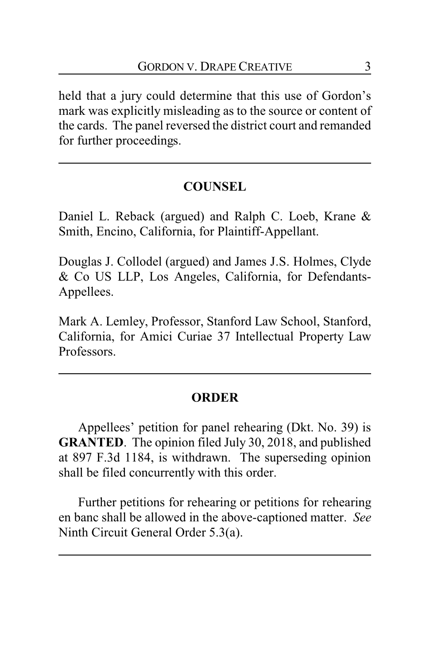held that a jury could determine that this use of Gordon's mark was explicitly misleading as to the source or content of the cards. The panel reversed the district court and remanded for further proceedings.

# **COUNSEL**

Daniel L. Reback (argued) and Ralph C. Loeb, Krane & Smith, Encino, California, for Plaintiff-Appellant.

Douglas J. Collodel (argued) and James J.S. Holmes, Clyde & Co US LLP, Los Angeles, California, for Defendants-Appellees.

Mark A. Lemley, Professor, Stanford Law School, Stanford, California, for Amici Curiae 37 Intellectual Property Law Professors.

## **ORDER**

Appellees' petition for panel rehearing (Dkt. No. 39) is **GRANTED**. The opinion filed July 30, 2018, and published at 897 F.3d 1184, is withdrawn. The superseding opinion shall be filed concurrently with this order.

Further petitions for rehearing or petitions for rehearing en banc shall be allowed in the above-captioned matter. *See* Ninth Circuit General Order 5.3(a).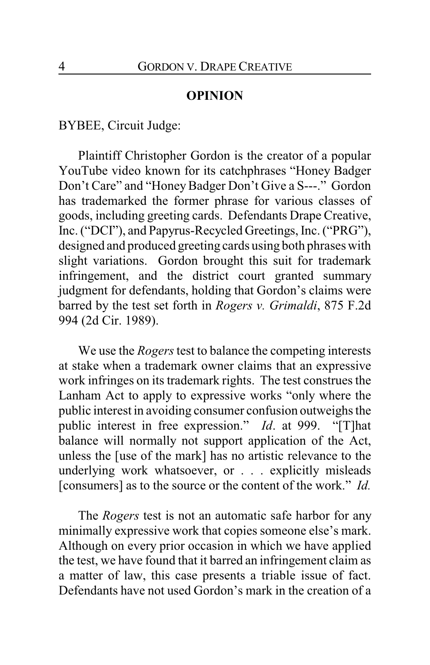#### **OPINION**

BYBEE, Circuit Judge:

Plaintiff Christopher Gordon is the creator of a popular YouTube video known for its catchphrases "Honey Badger Don't Care" and "Honey Badger Don't Give a S---." Gordon has trademarked the former phrase for various classes of goods, including greeting cards. Defendants Drape Creative, Inc. ("DCI"), and Papyrus-Recycled Greetings, Inc. ("PRG"), designed and produced greeting cards using both phrases with slight variations. Gordon brought this suit for trademark infringement, and the district court granted summary judgment for defendants, holding that Gordon's claims were barred by the test set forth in *Rogers v. Grimaldi*, 875 F.2d 994 (2d Cir. 1989).

We use the *Rogers* test to balance the competing interests at stake when a trademark owner claims that an expressive work infringes on its trademark rights. The test construes the Lanham Act to apply to expressive works "only where the public interest in avoiding consumer confusion outweighs the public interest in free expression." *Id*. at 999. "[T]hat balance will normally not support application of the Act, unless the [use of the mark] has no artistic relevance to the underlying work whatsoever, or . . . explicitly misleads [consumers] as to the source or the content of the work." *Id.*

The *Rogers* test is not an automatic safe harbor for any minimally expressive work that copies someone else's mark. Although on every prior occasion in which we have applied the test, we have found that it barred an infringement claim as a matter of law, this case presents a triable issue of fact. Defendants have not used Gordon's mark in the creation of a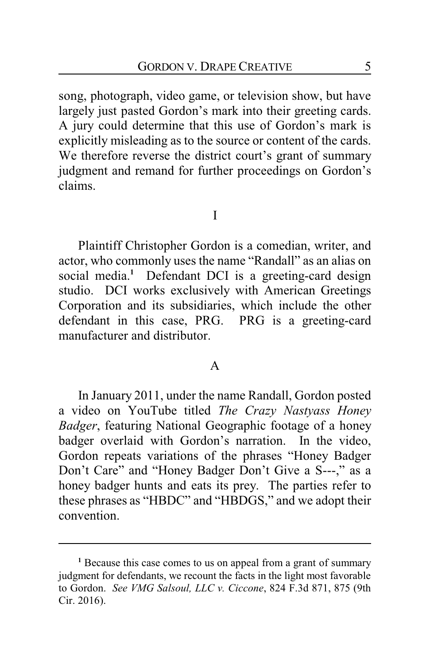song, photograph, video game, or television show, but have largely just pasted Gordon's mark into their greeting cards. A jury could determine that this use of Gordon's mark is explicitly misleading as to the source or content of the cards. We therefore reverse the district court's grant of summary judgment and remand for further proceedings on Gordon's claims.

I

Plaintiff Christopher Gordon is a comedian, writer, and actor, who commonly uses the name "Randall" as an alias on social media.**<sup>1</sup>** Defendant DCI is a greeting-card design studio. DCI works exclusively with American Greetings Corporation and its subsidiaries, which include the other defendant in this case, PRG. PRG is a greeting-card manufacturer and distributor.

#### A

In January 2011, under the name Randall, Gordon posted a video on YouTube titled *The Crazy Nastyass Honey Badger*, featuring National Geographic footage of a honey badger overlaid with Gordon's narration. In the video, Gordon repeats variations of the phrases "Honey Badger Don't Care" and "Honey Badger Don't Give a S---," as a honey badger hunts and eats its prey. The parties refer to these phrases as "HBDC" and "HBDGS," and we adopt their convention.

**<sup>1</sup>** Because this case comes to us on appeal from a grant of summary judgment for defendants, we recount the facts in the light most favorable to Gordon. *See VMG Salsoul, LLC v. Ciccone*, 824 F.3d 871, 875 (9th Cir. 2016).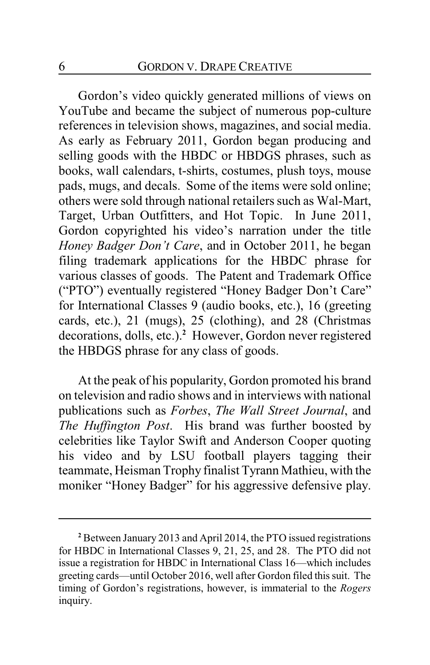Gordon's video quickly generated millions of views on YouTube and became the subject of numerous pop-culture references in television shows, magazines, and social media. As early as February 2011, Gordon began producing and selling goods with the HBDC or HBDGS phrases, such as books, wall calendars, t-shirts, costumes, plush toys, mouse pads, mugs, and decals. Some of the items were sold online; others were sold through national retailers such as Wal-Mart, Target, Urban Outfitters, and Hot Topic. In June 2011, Gordon copyrighted his video's narration under the title *Honey Badger Don't Care*, and in October 2011, he began filing trademark applications for the HBDC phrase for various classes of goods. The Patent and Trademark Office ("PTO") eventually registered "Honey Badger Don't Care" for International Classes 9 (audio books, etc.), 16 (greeting cards, etc.), 21 (mugs), 25 (clothing), and 28 (Christmas decorations, dolls, etc.).**<sup>2</sup>** However, Gordon never registered the HBDGS phrase for any class of goods.

At the peak of his popularity, Gordon promoted his brand on television and radio shows and in interviews with national publications such as *Forbes*, *The Wall Street Journal*, and *The Huffington Post*. His brand was further boosted by celebrities like Taylor Swift and Anderson Cooper quoting his video and by LSU football players tagging their teammate, Heisman Trophy finalist Tyrann Mathieu, with the moniker "Honey Badger" for his aggressive defensive play.

**<sup>2</sup>** Between January 2013 and April 2014, the PTO issued registrations for HBDC in International Classes 9, 21, 25, and 28. The PTO did not issue a registration for HBDC in International Class 16—which includes greeting cards—until October 2016, well after Gordon filed this suit. The timing of Gordon's registrations, however, is immaterial to the *Rogers* inquiry.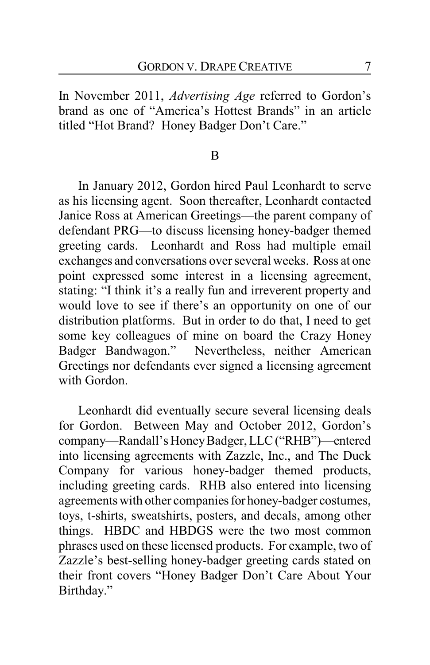In November 2011, *Advertising Age* referred to Gordon's brand as one of "America's Hottest Brands" in an article titled "Hot Brand? Honey Badger Don't Care."

#### B

In January 2012, Gordon hired Paul Leonhardt to serve as his licensing agent. Soon thereafter, Leonhardt contacted Janice Ross at American Greetings—the parent company of defendant PRG—to discuss licensing honey-badger themed greeting cards. Leonhardt and Ross had multiple email exchanges and conversations over several weeks. Ross at one point expressed some interest in a licensing agreement, stating: "I think it's a really fun and irreverent property and would love to see if there's an opportunity on one of our distribution platforms. But in order to do that, I need to get some key colleagues of mine on board the Crazy Honey Badger Bandwagon." Nevertheless, neither American Greetings nor defendants ever signed a licensing agreement with Gordon.

Leonhardt did eventually secure several licensing deals for Gordon. Between May and October 2012, Gordon's company—Randall's HoneyBadger, LLC ("RHB")—entered into licensing agreements with Zazzle, Inc., and The Duck Company for various honey-badger themed products, including greeting cards. RHB also entered into licensing agreements with other companies for honey-badger costumes, toys, t-shirts, sweatshirts, posters, and decals, among other things. HBDC and HBDGS were the two most common phrases used on these licensed products. For example, two of Zazzle's best-selling honey-badger greeting cards stated on their front covers "Honey Badger Don't Care About Your Birthday."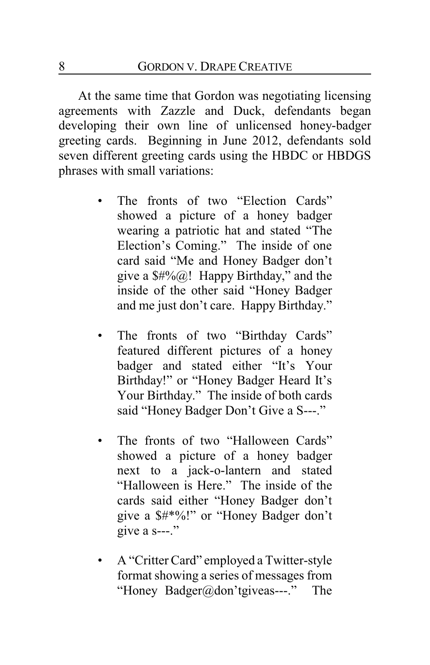At the same time that Gordon was negotiating licensing agreements with Zazzle and Duck, defendants began developing their own line of unlicensed honey-badger greeting cards. Beginning in June 2012, defendants sold seven different greeting cards using the HBDC or HBDGS phrases with small variations:

- The fronts of two "Election Cards" showed a picture of a honey badger wearing a patriotic hat and stated "The Election's Coming." The inside of one card said "Me and Honey Badger don't give a  $\frac{4\pi}{6}$ . Happy Birthday," and the inside of the other said "Honey Badger and me just don't care. Happy Birthday."
- The fronts of two "Birthday Cards" featured different pictures of a honey badger and stated either "It's Your Birthday!" or "Honey Badger Heard It's Your Birthday." The inside of both cards said "Honey Badger Don't Give a S---."
- The fronts of two "Halloween Cards" showed a picture of a honey badger next to a jack-o-lantern and stated "Halloween is Here." The inside of the cards said either "Honey Badger don't give a \$#\*%!" or "Honey Badger don't give a s---."
- A "Critter Card" employed a Twitter-style format showing a series of messages from "Honey Badger@don'tgiveas---." The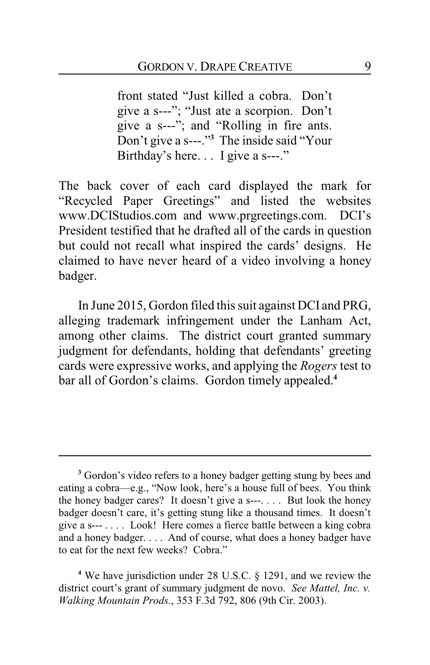front stated "Just killed a cobra. Don't give a s---"; "Just ate a scorpion. Don't give a s---"; and "Rolling in fire ants. Don't give a s---."**<sup>3</sup>** The inside said "Your Birthday's here... I give a s---."

The back cover of each card displayed the mark for "Recycled Paper Greetings" and listed the websites www.DCIStudios.com and www.prgreetings.com. DCI's President testified that he drafted all of the cards in question but could not recall what inspired the cards' designs. He claimed to have never heard of a video involving a honey badger.

In June 2015, Gordon filed this suit against DCI and PRG, alleging trademark infringement under the Lanham Act, among other claims. The district court granted summary judgment for defendants, holding that defendants' greeting cards were expressive works, and applying the *Rogers* test to bar all of Gordon's claims. Gordon timely appealed.**<sup>4</sup>**

<sup>&</sup>lt;sup>3</sup> Gordon's video refers to a honey badger getting stung by bees and eating a cobra—e.g., "Now look, here's a house full of bees. You think the honey badger cares? It doesn't give a s---. . . . But look the honey badger doesn't care, it's getting stung like a thousand times. It doesn't give a s--- . . . . Look! Here comes a fierce battle between a king cobra and a honey badger. . . . And of course, what does a honey badger have to eat for the next few weeks? Cobra."

**<sup>4</sup>** We have jurisdiction under 28 U.S.C. § 1291, and we review the district court's grant of summary judgment de novo. *See Mattel, Inc. v. Walking Mountain Prods.*, 353 F.3d 792, 806 (9th Cir. 2003).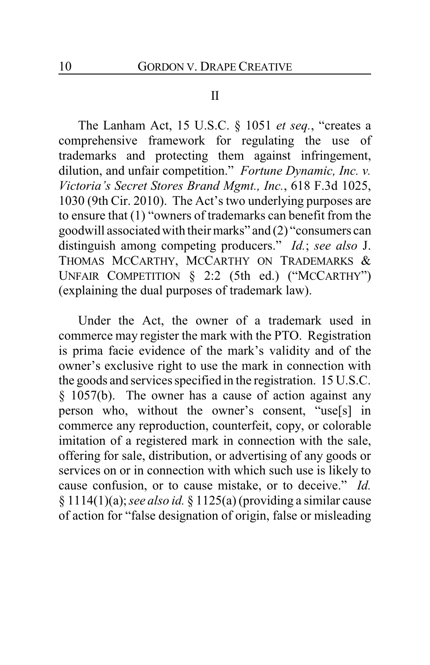#### II

The Lanham Act, 15 U.S.C. § 1051 *et seq.*, "creates a comprehensive framework for regulating the use of trademarks and protecting them against infringement, dilution, and unfair competition." *Fortune Dynamic, Inc. v. Victoria's Secret Stores Brand Mgmt., Inc.*, 618 F.3d 1025, 1030 (9th Cir. 2010). The Act's two underlying purposes are to ensure that (1) "owners of trademarks can benefit from the goodwill associated with their marks" and (2) "consumers can distinguish among competing producers." *Id.*; *see also* J. THOMAS MCCARTHY, MCCARTHY ON TRADEMARKS & UNFAIR COMPETITION § 2:2 (5th ed.) ("MCCARTHY") (explaining the dual purposes of trademark law).

Under the Act, the owner of a trademark used in commerce may register the mark with the PTO. Registration is prima facie evidence of the mark's validity and of the owner's exclusive right to use the mark in connection with the goods and services specified in the registration. 15 U.S.C. § 1057(b). The owner has a cause of action against any person who, without the owner's consent, "use[s] in commerce any reproduction, counterfeit, copy, or colorable imitation of a registered mark in connection with the sale, offering for sale, distribution, or advertising of any goods or services on or in connection with which such use is likely to cause confusion, or to cause mistake, or to deceive." *Id.* § 1114(1)(a); *see also id.* § 1125(a) (providing a similar cause of action for "false designation of origin, false or misleading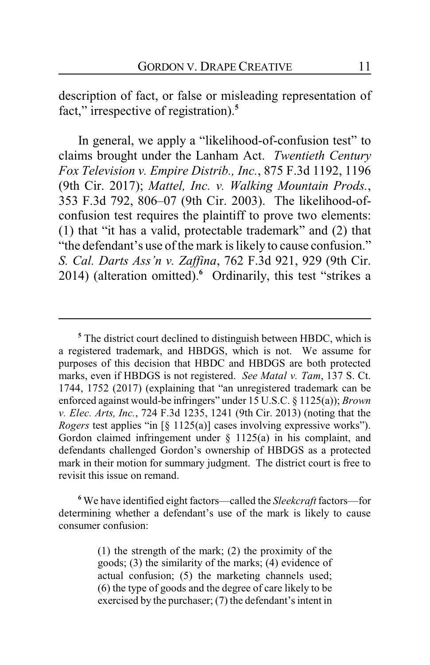description of fact, or false or misleading representation of fact," irrespective of registration).**<sup>5</sup>**

In general, we apply a "likelihood-of-confusion test" to claims brought under the Lanham Act. *Twentieth Century Fox Television v. Empire Distrib., Inc.*, 875 F.3d 1192, 1196 (9th Cir. 2017); *Mattel, Inc. v. Walking Mountain Prods.*, 353 F.3d 792, 806–07 (9th Cir. 2003). The likelihood-ofconfusion test requires the plaintiff to prove two elements: (1) that "it has a valid, protectable trademark" and (2) that "the defendant's use of the mark is likely to cause confusion." *S. Cal. Darts Ass'n v. Zaffina*, 762 F.3d 921, 929 (9th Cir. 2014) (alteration omitted).**<sup>6</sup>** Ordinarily, this test "strikes a

**<sup>6</sup>** We have identified eight factors—called the *Sleekcraft* factors—for determining whether a defendant's use of the mark is likely to cause consumer confusion:

> (1) the strength of the mark; (2) the proximity of the goods; (3) the similarity of the marks; (4) evidence of actual confusion; (5) the marketing channels used; (6) the type of goods and the degree of care likely to be exercised by the purchaser; (7) the defendant's intent in

<sup>&</sup>lt;sup>5</sup> The district court declined to distinguish between HBDC, which is a registered trademark, and HBDGS, which is not. We assume for purposes of this decision that HBDC and HBDGS are both protected marks, even if HBDGS is not registered. *See Matal v. Tam*, 137 S. Ct. 1744, 1752 (2017) (explaining that "an unregistered trademark can be enforced against would-be infringers" under 15 U.S.C. § 1125(a)); *Brown v. Elec. Arts, Inc.*, 724 F.3d 1235, 1241 (9th Cir. 2013) (noting that the *Rogers* test applies "in [§ 1125(a)] cases involving expressive works"). Gordon claimed infringement under § 1125(a) in his complaint, and defendants challenged Gordon's ownership of HBDGS as a protected mark in their motion for summary judgment. The district court is free to revisit this issue on remand.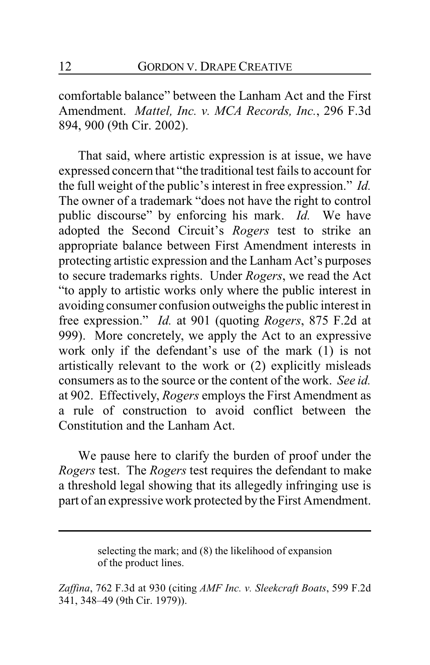comfortable balance" between the Lanham Act and the First Amendment. *Mattel, Inc. v. MCA Records, Inc.*, 296 F.3d 894, 900 (9th Cir. 2002).

That said, where artistic expression is at issue, we have expressed concern that "the traditional test fails to account for the full weight of the public's interest in free expression." *Id.* The owner of a trademark "does not have the right to control public discourse" by enforcing his mark. *Id.* We have adopted the Second Circuit's *Rogers* test to strike an appropriate balance between First Amendment interests in protecting artistic expression and the Lanham Act's purposes to secure trademarks rights. Under *Rogers*, we read the Act "to apply to artistic works only where the public interest in avoiding consumer confusion outweighs the public interest in free expression." *Id.* at 901 (quoting *Rogers*, 875 F.2d at 999). More concretely, we apply the Act to an expressive work only if the defendant's use of the mark (1) is not artistically relevant to the work or (2) explicitly misleads consumers as to the source or the content of the work. *See id.* at 902. Effectively, *Rogers* employs the First Amendment as a rule of construction to avoid conflict between the Constitution and the Lanham Act.

We pause here to clarify the burden of proof under the *Rogers* test. The *Rogers* test requires the defendant to make a threshold legal showing that its allegedly infringing use is part of an expressive work protected by the First Amendment.

> selecting the mark; and (8) the likelihood of expansion of the product lines.

*Zaffina*, 762 F.3d at 930 (citing *AMF Inc. v. Sleekcraft Boats*, 599 F.2d 341, 348–49 (9th Cir. 1979)).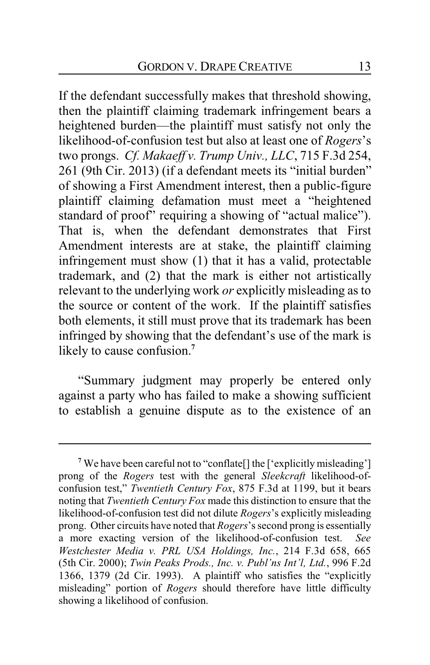If the defendant successfully makes that threshold showing, then the plaintiff claiming trademark infringement bears a heightened burden—the plaintiff must satisfy not only the likelihood-of-confusion test but also at least one of *Rogers*'s two prongs. *Cf. Makaeff v. Trump Univ., LLC*, 715 F.3d 254, 261 (9th Cir. 2013) (if a defendant meets its "initial burden" of showing a First Amendment interest, then a public-figure plaintiff claiming defamation must meet a "heightened standard of proof" requiring a showing of "actual malice"). That is, when the defendant demonstrates that First Amendment interests are at stake, the plaintiff claiming infringement must show (1) that it has a valid, protectable trademark, and (2) that the mark is either not artistically relevant to the underlying work *or* explicitly misleading as to the source or content of the work. If the plaintiff satisfies both elements, it still must prove that its trademark has been infringed by showing that the defendant's use of the mark is likely to cause confusion.**<sup>7</sup>**

"Summary judgment may properly be entered only against a party who has failed to make a showing sufficient to establish a genuine dispute as to the existence of an

<sup>&</sup>lt;sup>7</sup> We have been careful not to "conflate<sup>[]</sup> the ['explicitly misleading'] prong of the *Rogers* test with the general *Sleekcraft* likelihood-ofconfusion test," *Twentieth Century Fox*, 875 F.3d at 1199, but it bears noting that *Twentieth Century Fox* made this distinction to ensure that the likelihood-of-confusion test did not dilute *Rogers*'s explicitly misleading prong. Other circuits have noted that *Rogers*'s second prong is essentially a more exacting version of the likelihood-of-confusion test. *See Westchester Media v. PRL USA Holdings, Inc.*, 214 F.3d 658, 665 (5th Cir. 2000); *Twin Peaks Prods., Inc. v. Publ'ns Int'l, Ltd.*, 996 F.2d 1366, 1379 (2d Cir. 1993). A plaintiff who satisfies the "explicitly misleading" portion of *Rogers* should therefore have little difficulty showing a likelihood of confusion.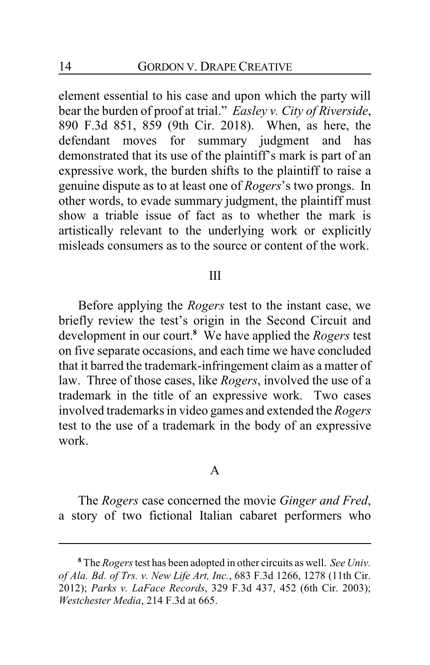element essential to his case and upon which the party will bear the burden of proof at trial." *Easley v. City of Riverside*, 890 F.3d 851, 859 (9th Cir. 2018). When, as here, the defendant moves for summary judgment and has demonstrated that its use of the plaintiff's mark is part of an expressive work, the burden shifts to the plaintiff to raise a genuine dispute as to at least one of *Rogers*'s two prongs. In other words, to evade summary judgment, the plaintiff must show a triable issue of fact as to whether the mark is artistically relevant to the underlying work or explicitly misleads consumers as to the source or content of the work.

#### III

Before applying the *Rogers* test to the instant case, we briefly review the test's origin in the Second Circuit and development in our court.**<sup>8</sup>** We have applied the *Rogers* test on five separate occasions, and each time we have concluded that it barred the trademark-infringement claim as a matter of law. Three of those cases, like *Rogers*, involved the use of a trademark in the title of an expressive work. Two cases involved trademarks in video games and extended the *Rogers* test to the use of a trademark in the body of an expressive work.

### A

The *Rogers* case concerned the movie *Ginger and Fred*, a story of two fictional Italian cabaret performers who

**<sup>8</sup>** The *Rogers* test has been adopted in other circuits as well. *See Univ. of Ala. Bd. of Trs. v. New Life Art, Inc.*, 683 F.3d 1266, 1278 (11th Cir. 2012); *Parks v. LaFace Records*, 329 F.3d 437, 452 (6th Cir. 2003); *Westchester Media*, 214 F.3d at 665.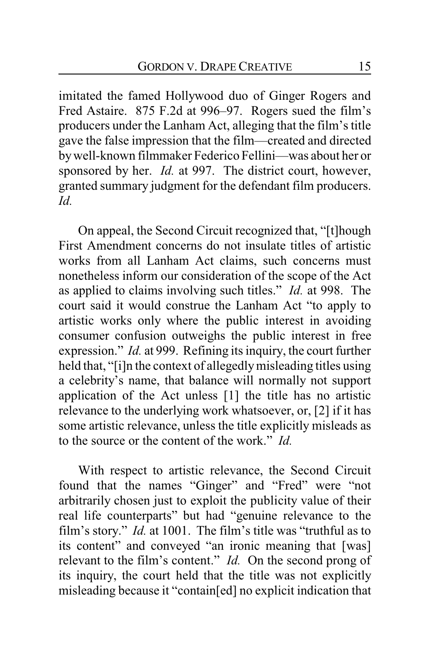imitated the famed Hollywood duo of Ginger Rogers and Fred Astaire. 875 F.2d at 996–97. Rogers sued the film's producers under the Lanham Act, alleging that the film's title gave the false impression that the film—created and directed bywell-known filmmaker Federico Fellini—was about her or sponsored by her. *Id.* at 997. The district court, however, granted summary judgment for the defendant film producers. *Id.*

On appeal, the Second Circuit recognized that, "[t]hough First Amendment concerns do not insulate titles of artistic works from all Lanham Act claims, such concerns must nonetheless inform our consideration of the scope of the Act as applied to claims involving such titles." *Id.* at 998. The court said it would construe the Lanham Act "to apply to artistic works only where the public interest in avoiding consumer confusion outweighs the public interest in free expression." *Id.* at 999. Refining its inquiry, the court further held that, "[i]n the context of allegedlymisleading titles using a celebrity's name, that balance will normally not support application of the Act unless [1] the title has no artistic relevance to the underlying work whatsoever, or, [2] if it has some artistic relevance, unless the title explicitly misleads as to the source or the content of the work." *Id.*

With respect to artistic relevance, the Second Circuit found that the names "Ginger" and "Fred" were "not arbitrarily chosen just to exploit the publicity value of their real life counterparts" but had "genuine relevance to the film's story." *Id.* at 1001. The film's title was "truthful as to its content" and conveyed "an ironic meaning that [was] relevant to the film's content." *Id.* On the second prong of its inquiry, the court held that the title was not explicitly misleading because it "contain[ed] no explicit indication that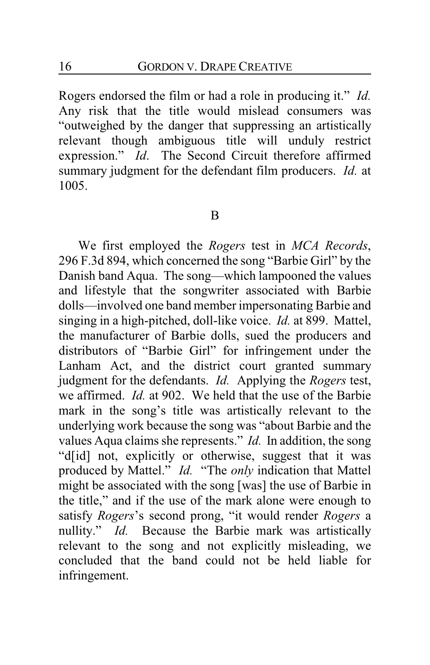Rogers endorsed the film or had a role in producing it." *Id.* Any risk that the title would mislead consumers was "outweighed by the danger that suppressing an artistically relevant though ambiguous title will unduly restrict expression." *Id*. The Second Circuit therefore affirmed summary judgment for the defendant film producers. *Id.* at 1005.

#### B

We first employed the *Rogers* test in *MCA Records*, 296 F.3d 894, which concerned the song "Barbie Girl" by the Danish band Aqua. The song—which lampooned the values and lifestyle that the songwriter associated with Barbie dolls—involved one band member impersonating Barbie and singing in a high-pitched, doll-like voice. *Id.* at 899. Mattel, the manufacturer of Barbie dolls, sued the producers and distributors of "Barbie Girl" for infringement under the Lanham Act, and the district court granted summary judgment for the defendants. *Id.* Applying the *Rogers* test, we affirmed. *Id.* at 902. We held that the use of the Barbie mark in the song's title was artistically relevant to the underlying work because the song was "about Barbie and the values Aqua claims she represents." *Id.* In addition, the song "d[id] not, explicitly or otherwise, suggest that it was produced by Mattel." *Id.* "The *only* indication that Mattel might be associated with the song [was] the use of Barbie in the title," and if the use of the mark alone were enough to satisfy *Rogers*'s second prong, "it would render *Rogers* a nullity." *Id.* Because the Barbie mark was artistically relevant to the song and not explicitly misleading, we concluded that the band could not be held liable for infringement.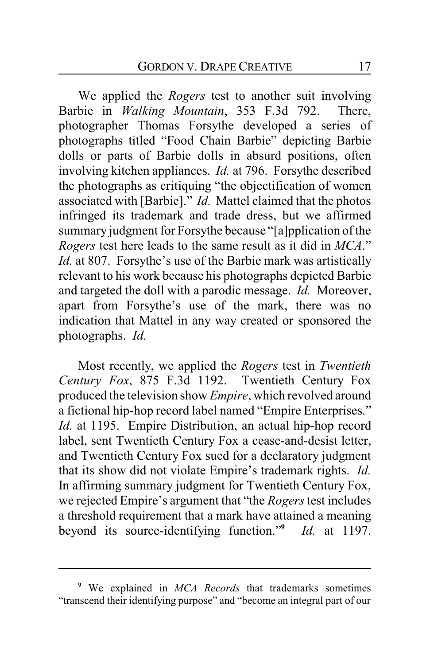We applied the *Rogers* test to another suit involving Barbie in *Walking Mountain*, 353 F.3d 792. There, photographer Thomas Forsythe developed a series of photographs titled "Food Chain Barbie" depicting Barbie dolls or parts of Barbie dolls in absurd positions, often involving kitchen appliances. *Id.* at 796. Forsythe described the photographs as critiquing "the objectification of women associated with [Barbie]." *Id.* Mattel claimed that the photos infringed its trademark and trade dress, but we affirmed summary judgment for Forsythe because "[a]pplication of the *Rogers* test here leads to the same result as it did in *MCA*." *Id.* at 807. Forsythe's use of the Barbie mark was artistically relevant to his work because his photographs depicted Barbie and targeted the doll with a parodic message. *Id.* Moreover, apart from Forsythe's use of the mark, there was no indication that Mattel in any way created or sponsored the photographs. *Id.*

Most recently, we applied the *Rogers* test in *Twentieth Century Fox*, 875 F.3d 1192. Twentieth Century Fox produced the television show *Empire*, which revolved around a fictional hip-hop record label named "Empire Enterprises." *Id.* at 1195. Empire Distribution, an actual hip-hop record label, sent Twentieth Century Fox a cease-and-desist letter, and Twentieth Century Fox sued for a declaratory judgment that its show did not violate Empire's trademark rights. *Id.* In affirming summary judgment for Twentieth Century Fox, we rejected Empire's argument that "the *Rogers* test includes a threshold requirement that a mark have attained a meaning beyond its source-identifying function."**<sup>9</sup>** *Id.* at 1197.

**<sup>9</sup>** We explained in *MCA Records* that trademarks sometimes "transcend their identifying purpose" and "become an integral part of our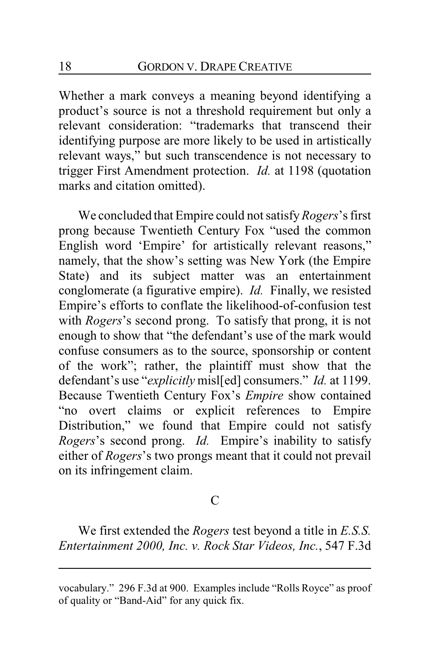Whether a mark conveys a meaning beyond identifying a product's source is not a threshold requirement but only a relevant consideration: "trademarks that transcend their identifying purpose are more likely to be used in artistically relevant ways," but such transcendence is not necessary to trigger First Amendment protection. *Id.* at 1198 (quotation marks and citation omitted).

We concluded that Empire could not satisfy*Rogers*'s first prong because Twentieth Century Fox "used the common English word 'Empire' for artistically relevant reasons," namely, that the show's setting was New York (the Empire State) and its subject matter was an entertainment conglomerate (a figurative empire). *Id.* Finally, we resisted Empire's efforts to conflate the likelihood-of-confusion test with *Rogers*'s second prong. To satisfy that prong, it is not enough to show that "the defendant's use of the mark would confuse consumers as to the source, sponsorship or content of the work"; rather, the plaintiff must show that the defendant's use "*explicitly* misl[ed] consumers." *Id.* at 1199. Because Twentieth Century Fox's *Empire* show contained "no overt claims or explicit references to Empire Distribution," we found that Empire could not satisfy *Rogers*'s second prong. *Id.* Empire's inability to satisfy either of *Rogers*'s two prongs meant that it could not prevail on its infringement claim.

## $\mathcal{C}$

We first extended the *Rogers* test beyond a title in *E.S.S. Entertainment 2000, Inc. v. Rock Star Videos, Inc.*, 547 F.3d

vocabulary." 296 F.3d at 900. Examples include "Rolls Royce" as proof of quality or "Band-Aid" for any quick fix.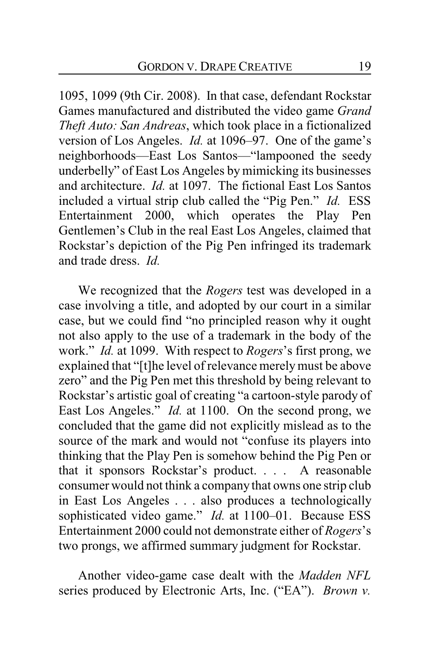1095, 1099 (9th Cir. 2008). In that case, defendant Rockstar Games manufactured and distributed the video game *Grand Theft Auto: San Andreas*, which took place in a fictionalized version of Los Angeles. *Id.* at 1096–97. One of the game's neighborhoods—East Los Santos—"lampooned the seedy underbelly" of East Los Angeles by mimicking its businesses and architecture. *Id.* at 1097. The fictional East Los Santos included a virtual strip club called the "Pig Pen." *Id.* ESS Entertainment 2000, which operates the Play Pen Gentlemen's Club in the real East Los Angeles, claimed that Rockstar's depiction of the Pig Pen infringed its trademark and trade dress. *Id.*

We recognized that the *Rogers* test was developed in a case involving a title, and adopted by our court in a similar case, but we could find "no principled reason why it ought not also apply to the use of a trademark in the body of the work." *Id.* at 1099. With respect to *Rogers*'s first prong, we explained that "[t]he level of relevance merelymust be above zero" and the Pig Pen met this threshold by being relevant to Rockstar's artistic goal of creating "a cartoon-style parody of East Los Angeles." *Id.* at 1100. On the second prong, we concluded that the game did not explicitly mislead as to the source of the mark and would not "confuse its players into thinking that the Play Pen is somehow behind the Pig Pen or that it sponsors Rockstar's product. . . . A reasonable consumer would not think a company that owns one strip club in East Los Angeles . . . also produces a technologically sophisticated video game." *Id.* at 1100-01. Because ESS Entertainment 2000 could not demonstrate either of *Rogers*'s two prongs, we affirmed summary judgment for Rockstar.

Another video-game case dealt with the *Madden NFL* series produced by Electronic Arts, Inc. ("EA"). *Brown v.*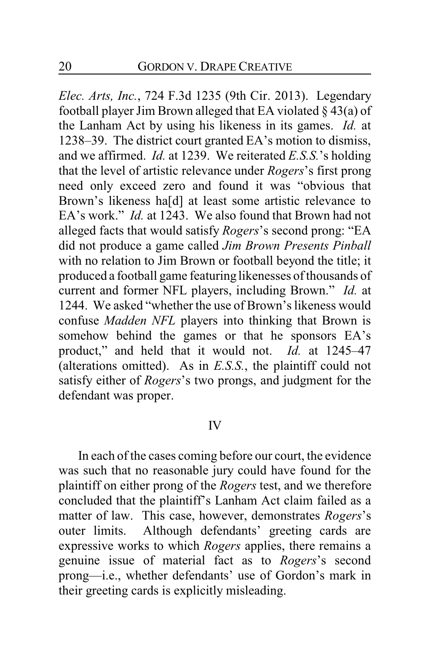*Elec. Arts, Inc.*, 724 F.3d 1235 (9th Cir. 2013). Legendary football player Jim Brown alleged that EA violated § 43(a) of the Lanham Act by using his likeness in its games. *Id.* at 1238–39. The district court granted EA's motion to dismiss, and we affirmed. *Id.* at 1239. We reiterated *E.S.S.*'s holding that the level of artistic relevance under *Rogers*'s first prong need only exceed zero and found it was "obvious that Brown's likeness ha[d] at least some artistic relevance to EA's work." *Id.* at 1243. We also found that Brown had not alleged facts that would satisfy *Rogers*'s second prong: "EA did not produce a game called *Jim Brown Presents Pinball* with no relation to Jim Brown or football beyond the title; it produced a football game featuring likenesses of thousands of current and former NFL players, including Brown." *Id.* at 1244. We asked "whether the use of Brown's likeness would confuse *Madden NFL* players into thinking that Brown is somehow behind the games or that he sponsors EA's product," and held that it would not. *Id.* at 1245–47 (alterations omitted). As in *E.S.S.*, the plaintiff could not satisfy either of *Rogers*'s two prongs, and judgment for the defendant was proper.

#### IV

In each of the cases coming before our court, the evidence was such that no reasonable jury could have found for the plaintiff on either prong of the *Rogers* test, and we therefore concluded that the plaintiff's Lanham Act claim failed as a matter of law. This case, however, demonstrates *Rogers*'s outer limits. Although defendants' greeting cards are expressive works to which *Rogers* applies, there remains a genuine issue of material fact as to *Rogers*'s second prong—i.e., whether defendants' use of Gordon's mark in their greeting cards is explicitly misleading.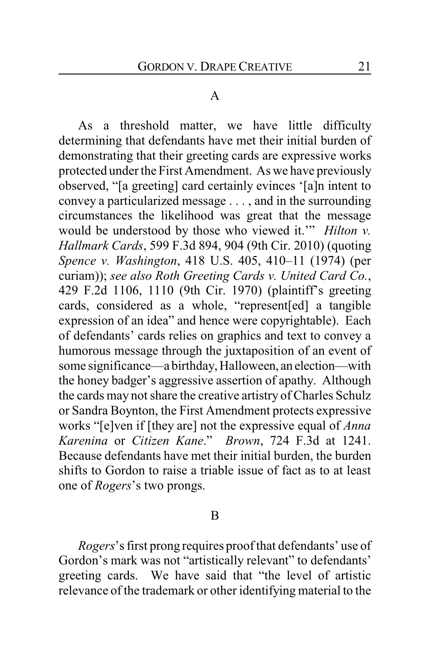#### A

As a threshold matter, we have little difficulty determining that defendants have met their initial burden of demonstrating that their greeting cards are expressive works protected under the First Amendment. As we have previously observed, "[a greeting] card certainly evinces '[a]n intent to convey a particularized message . . . , and in the surrounding circumstances the likelihood was great that the message would be understood by those who viewed it.'" *Hilton v. Hallmark Cards*, 599 F.3d 894, 904 (9th Cir. 2010) (quoting *Spence v. Washington*, 418 U.S. 405, 410–11 (1974) (per curiam)); *see also Roth Greeting Cards v. United Card Co.*, 429 F.2d 1106, 1110 (9th Cir. 1970) (plaintiff's greeting cards, considered as a whole, "represent[ed] a tangible expression of an idea" and hence were copyrightable). Each of defendants' cards relies on graphics and text to convey a humorous message through the juxtaposition of an event of some significance—a birthday, Halloween, an election—with the honey badger's aggressive assertion of apathy. Although the cards may not share the creative artistry of Charles Schulz or Sandra Boynton, the First Amendment protects expressive works "[e]ven if [they are] not the expressive equal of *Anna Karenina* or *Citizen Kane*." *Brown*, 724 F.3d at 1241. Because defendants have met their initial burden, the burden shifts to Gordon to raise a triable issue of fact as to at least one of *Rogers*'s two prongs.

#### B

*Rogers*'s first prong requires proof that defendants' use of Gordon's mark was not "artistically relevant" to defendants' greeting cards. We have said that "the level of artistic relevance of the trademark or other identifying material to the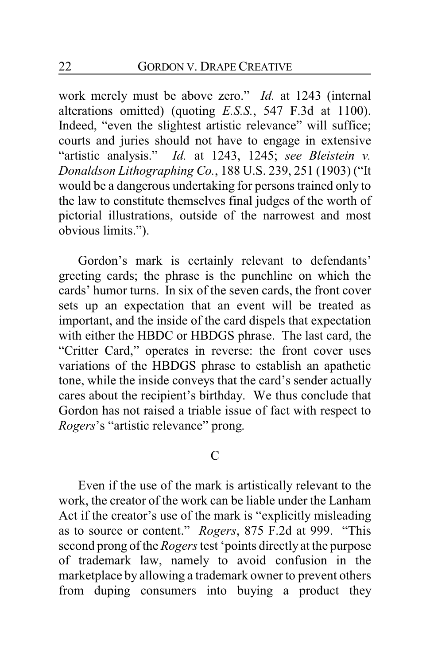work merely must be above zero." *Id.* at 1243 (internal alterations omitted) (quoting *E.S.S.*, 547 F.3d at 1100). Indeed, "even the slightest artistic relevance" will suffice; courts and juries should not have to engage in extensive "artistic analysis." *Id.* at 1243, 1245; *see Bleistein v. Donaldson Lithographing Co.*, 188 U.S. 239, 251 (1903) ("It would be a dangerous undertaking for persons trained only to the law to constitute themselves final judges of the worth of pictorial illustrations, outside of the narrowest and most obvious limits.").

Gordon's mark is certainly relevant to defendants' greeting cards; the phrase is the punchline on which the cards' humor turns. In six of the seven cards, the front cover sets up an expectation that an event will be treated as important, and the inside of the card dispels that expectation with either the HBDC or HBDGS phrase. The last card, the "Critter Card," operates in reverse: the front cover uses variations of the HBDGS phrase to establish an apathetic tone, while the inside conveys that the card's sender actually cares about the recipient's birthday. We thus conclude that Gordon has not raised a triable issue of fact with respect to *Rogers*'s "artistic relevance" prong.

#### $\mathcal{C}$

Even if the use of the mark is artistically relevant to the work, the creator of the work can be liable under the Lanham Act if the creator's use of the mark is "explicitly misleading as to source or content." *Rogers*, 875 F.2d at 999. "This second prong of the *Rogers* test 'points directly at the purpose of trademark law, namely to avoid confusion in the marketplace by allowing a trademark owner to prevent others from duping consumers into buying a product they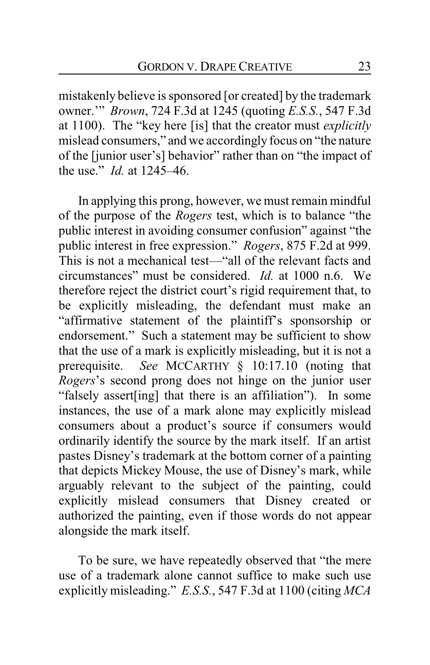mistakenly believe is sponsored [or created] by the trademark owner.'" *Brown*, 724 F.3d at 1245 (quoting *E.S.S.*, 547 F.3d at 1100). The "key here [is] that the creator must *explicitly* mislead consumers," and we accordingly focus on "the nature of the [junior user's] behavior" rather than on "the impact of the use." *Id.* at 1245–46.

In applying this prong, however, we must remain mindful of the purpose of the *Rogers* test, which is to balance "the public interest in avoiding consumer confusion" against "the public interest in free expression." *Rogers*, 875 F.2d at 999. This is not a mechanical test—"all of the relevant facts and circumstances" must be considered. *Id.* at 1000 n.6. We therefore reject the district court's rigid requirement that, to be explicitly misleading, the defendant must make an "affirmative statement of the plaintiff's sponsorship or endorsement." Such a statement may be sufficient to show that the use of a mark is explicitly misleading, but it is not a prerequisite. *See* MCCARTHY § 10:17.10 (noting that *Rogers*'s second prong does not hinge on the junior user "falsely assert[ing] that there is an affiliation"). In some instances, the use of a mark alone may explicitly mislead consumers about a product's source if consumers would ordinarily identify the source by the mark itself. If an artist pastes Disney's trademark at the bottom corner of a painting that depicts Mickey Mouse, the use of Disney's mark, while arguably relevant to the subject of the painting, could explicitly mislead consumers that Disney created or authorized the painting, even if those words do not appear alongside the mark itself.

To be sure, we have repeatedly observed that "the mere use of a trademark alone cannot suffice to make such use explicitly misleading." *E.S.S.*, 547 F.3d at 1100 (citing *MCA*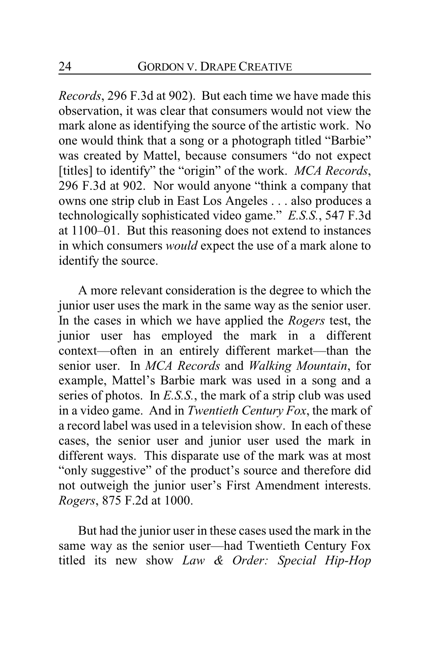*Records*, 296 F.3d at 902). But each time we have made this observation, it was clear that consumers would not view the mark alone as identifying the source of the artistic work. No one would think that a song or a photograph titled "Barbie" was created by Mattel, because consumers "do not expect [titles] to identify" the "origin" of the work. *MCA Records*, 296 F.3d at 902. Nor would anyone "think a company that owns one strip club in East Los Angeles . . . also produces a technologically sophisticated video game." *E.S.S.*, 547 F.3d at 1100–01. But this reasoning does not extend to instances in which consumers *would* expect the use of a mark alone to identify the source.

A more relevant consideration is the degree to which the junior user uses the mark in the same way as the senior user. In the cases in which we have applied the *Rogers* test, the junior user has employed the mark in a different context—often in an entirely different market—than the senior user. In *MCA Records* and *Walking Mountain*, for example, Mattel's Barbie mark was used in a song and a series of photos. In *E.S.S.*, the mark of a strip club was used in a video game. And in *Twentieth Century Fox*, the mark of a record label was used in a television show. In each of these cases, the senior user and junior user used the mark in different ways. This disparate use of the mark was at most "only suggestive" of the product's source and therefore did not outweigh the junior user's First Amendment interests. *Rogers*, 875 F.2d at 1000.

But had the junior user in these cases used the mark in the same way as the senior user—had Twentieth Century Fox titled its new show *Law & Order: Special Hip-Hop*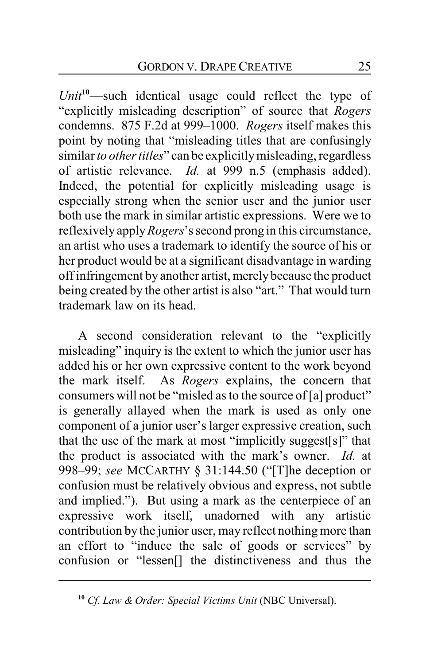*Unit***<sup>10</sup>**—such identical usage could reflect the type of "explicitly misleading description" of source that *Rogers* condemns. 875 F.2d at 999–1000. *Rogers* itself makes this point by noting that "misleading titles that are confusingly similar *to other titles*" can be explicitly misleading, regardless of artistic relevance. *Id.* at 999 n.5 (emphasis added). Indeed, the potential for explicitly misleading usage is especially strong when the senior user and the junior user both use the mark in similar artistic expressions. Were we to reflexively apply*Rogers*'s second prong in this circumstance, an artist who uses a trademark to identify the source of his or her product would be at a significant disadvantage in warding off infringement by another artist, merelybecause the product being created by the other artist is also "art." That would turn trademark law on its head.

A second consideration relevant to the "explicitly misleading" inquiry is the extent to which the junior user has added his or her own expressive content to the work beyond the mark itself. As *Rogers* explains, the concern that consumers will not be "misled as to the source of [a] product" is generally allayed when the mark is used as only one component of a junior user's larger expressive creation, such that the use of the mark at most "implicitly suggest[s]" that the product is associated with the mark's owner. *Id.* at 998–99; *see* MCCARTHY § 31:144.50 ("[T]he deception or confusion must be relatively obvious and express, not subtle and implied."). But using a mark as the centerpiece of an expressive work itself, unadorned with any artistic contribution by the junior user, may reflect nothing more than an effort to "induce the sale of goods or services" by confusion or "lessen[] the distinctiveness and thus the

**<sup>10</sup>** *Cf. Law & Order: Special Victims Unit* (NBC Universal).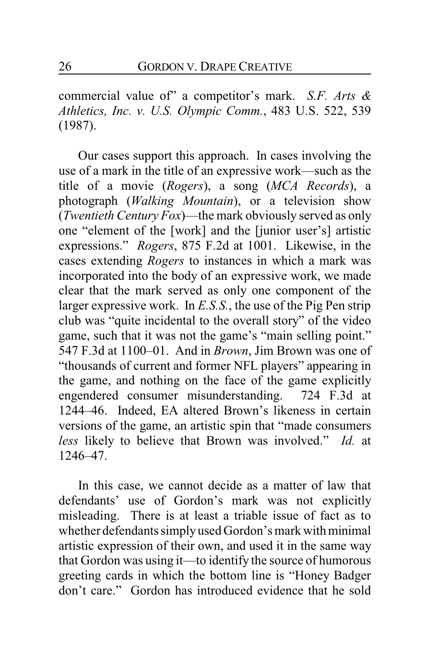commercial value of" a competitor's mark. *S.F. Arts & Athletics, Inc. v. U.S. Olympic Comm.*, 483 U.S. 522, 539 (1987).

Our cases support this approach. In cases involving the use of a mark in the title of an expressive work—such as the title of a movie (*Rogers*), a song (*MCA Records*), a photograph (*Walking Mountain*), or a television show (*Twentieth Century Fox*)—the mark obviously served as only one "element of the [work] and the [junior user's] artistic expressions." *Rogers*, 875 F.2d at 1001. Likewise, in the cases extending *Rogers* to instances in which a mark was incorporated into the body of an expressive work, we made clear that the mark served as only one component of the larger expressive work. In *E.S.S.*, the use of the Pig Pen strip club was "quite incidental to the overall story" of the video game, such that it was not the game's "main selling point." 547 F.3d at 1100–01. And in *Brown*, Jim Brown was one of "thousands of current and former NFL players" appearing in the game, and nothing on the face of the game explicitly engendered consumer misunderstanding. 724 F.3d at 1244–46. Indeed, EA altered Brown's likeness in certain versions of the game, an artistic spin that "made consumers *less* likely to believe that Brown was involved." *Id.* at 1246–47.

In this case, we cannot decide as a matter of law that defendants' use of Gordon's mark was not explicitly misleading. There is at least a triable issue of fact as to whether defendants simply used Gordon's mark with minimal artistic expression of their own, and used it in the same way that Gordon was using it—to identify the source of humorous greeting cards in which the bottom line is "Honey Badger don't care." Gordon has introduced evidence that he sold